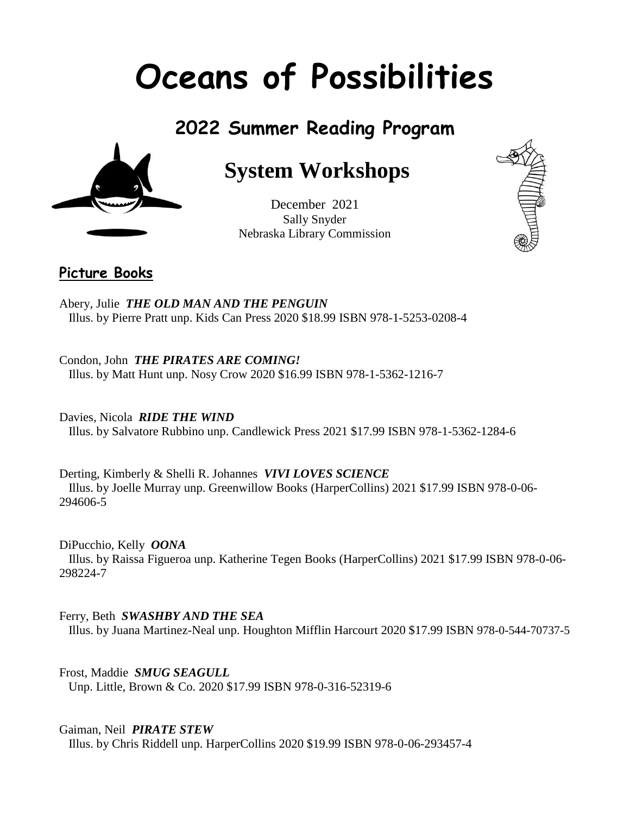# **Oceans of Possibilities**

# **2022 Summer Reading Program**



# **System Workshops**

December 2021 Sally Snyder Nebraska Library Commission



# **Picture Books**

Abery, Julie *THE OLD MAN AND THE PENGUIN* Illus. by Pierre Pratt unp. Kids Can Press 2020 \$18.99 ISBN 978-1-5253-0208-4

Condon, John *THE PIRATES ARE COMING!* Illus. by Matt Hunt unp. Nosy Crow 2020 \$16.99 ISBN 978-1-5362-1216-7

Davies, Nicola *RIDE THE WIND* Illus. by Salvatore Rubbino unp. Candlewick Press 2021 \$17.99 ISBN 978-1-5362-1284-6

Derting, Kimberly & Shelli R. Johannes *VIVI LOVES SCIENCE* Illus. by Joelle Murray unp. Greenwillow Books (HarperCollins) 2021 \$17.99 ISBN 978-0-06- 294606-5

DiPucchio, Kelly *OONA*

 Illus. by Raissa Figueroa unp. Katherine Tegen Books (HarperCollins) 2021 \$17.99 ISBN 978-0-06- 298224-7

Ferry, Beth *SWASHBY AND THE SEA*

Illus. by Juana Martinez-Neal unp. Houghton Mifflin Harcourt 2020 \$17.99 ISBN 978-0-544-70737-5

Frost, Maddie *SMUG SEAGULL* Unp. Little, Brown & Co. 2020 \$17.99 ISBN 978-0-316-52319-6

Gaiman, Neil *PIRATE STEW* Illus. by Chris Riddell unp. HarperCollins 2020 \$19.99 ISBN 978-0-06-293457-4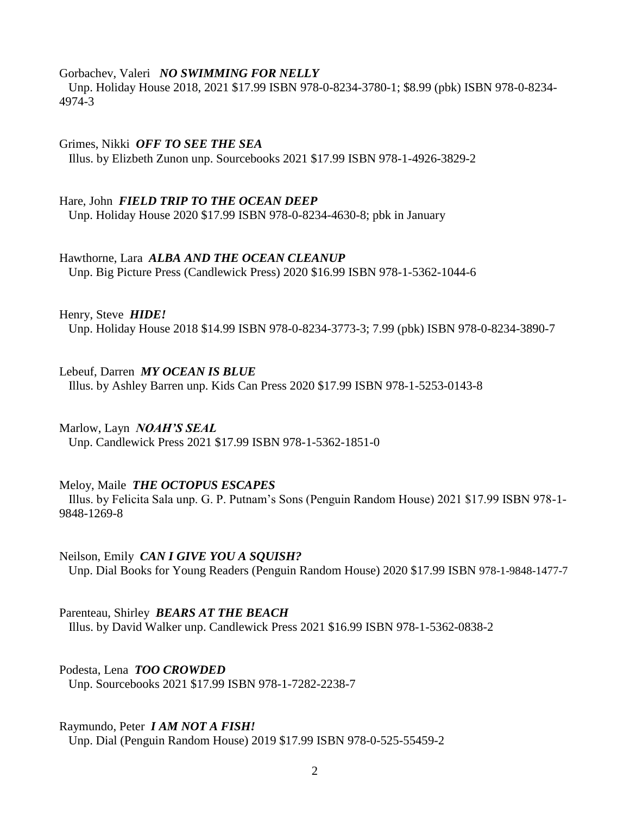#### Gorbachev, Valeri *NO SWIMMING FOR NELLY*

 Unp. Holiday House 2018, 2021 \$17.99 ISBN 978-0-8234-3780-1; \$8.99 (pbk) ISBN 978-0-8234- 4974-3

#### Grimes, Nikki *OFF TO SEE THE SEA*

Illus. by Elizbeth Zunon unp. Sourcebooks 2021 \$17.99 ISBN 978-1-4926-3829-2

#### Hare, John *FIELD TRIP TO THE OCEAN DEEP*

Unp. Holiday House 2020 \$17.99 ISBN 978-0-8234-4630-8; pbk in January

#### Hawthorne, Lara *ALBA AND THE OCEAN CLEANUP*

Unp. Big Picture Press (Candlewick Press) 2020 \$16.99 ISBN 978-1-5362-1044-6

#### Henry, Steve *HIDE!*

Unp. Holiday House 2018 \$14.99 ISBN 978-0-8234-3773-3; 7.99 (pbk) ISBN 978-0-8234-3890-7

#### Lebeuf, Darren *MY OCEAN IS BLUE*

Illus. by Ashley Barren unp. Kids Can Press 2020 \$17.99 ISBN 978-1-5253-0143-8

#### Marlow, Layn *NOAH'S SEAL*

Unp. Candlewick Press 2021 \$17.99 ISBN 978-1-5362-1851-0

#### Meloy, Maile *THE OCTOPUS ESCAPES*

 Illus. by Felicita Sala unp. G. P. Putnam's Sons (Penguin Random House) 2021 \$17.99 ISBN 978-1- 9848-1269-8

#### Neilson, Emily *CAN I GIVE YOU A SQUISH?* Unp. Dial Books for Young Readers (Penguin Random House) 2020 \$17.99 ISBN 978-1-9848-1477-7

Parenteau, Shirley *BEARS AT THE BEACH* Illus. by David Walker unp. Candlewick Press 2021 \$16.99 ISBN 978-1-5362-0838-2

#### Podesta, Lena *TOO CROWDED* Unp. Sourcebooks 2021 \$17.99 ISBN 978-1-7282-2238-7

#### Raymundo, Peter *I AM NOT A FISH!*

Unp. Dial (Penguin Random House) 2019 \$17.99 ISBN 978-0-525-55459-2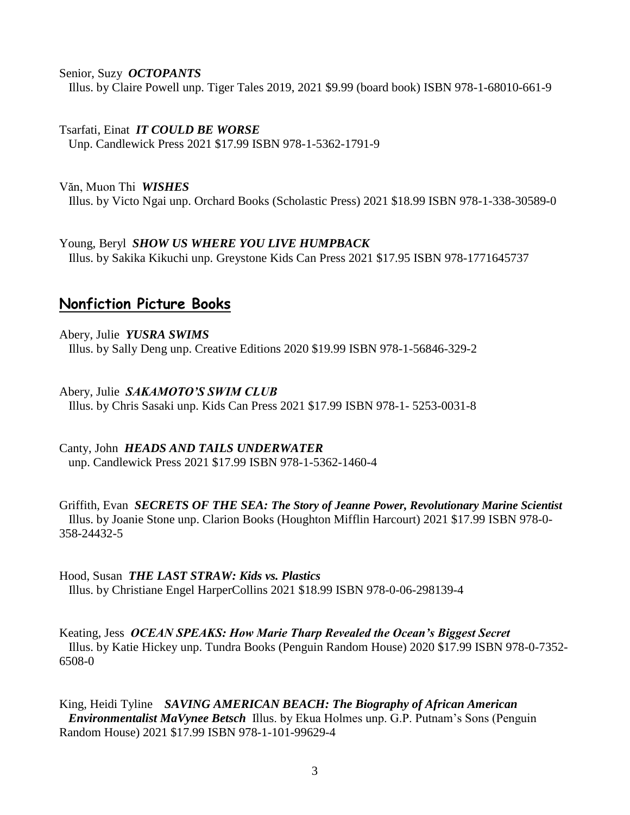Senior, Suzy *OCTOPANTS*

Illus. by Claire Powell unp. Tiger Tales 2019, 2021 \$9.99 (board book) ISBN 978-1-68010-661-9

Tsarfati, Einat *IT COULD BE WORSE* Unp. Candlewick Press 2021 \$17.99 ISBN 978-1-5362-1791-9

Văn, Muon Thi *WISHES* Illus. by Victo Ngai unp. Orchard Books (Scholastic Press) 2021 \$18.99 ISBN 978-1-338-30589-0

Young, Beryl *SHOW US WHERE YOU LIVE HUMPBACK* Illus. by Sakika Kikuchi unp. Greystone Kids Can Press 2021 \$17.95 ISBN 978-1771645737

# **Nonfiction Picture Books**

Abery, Julie *YUSRA SWIMS* Illus. by Sally Deng unp. Creative Editions 2020 \$19.99 ISBN 978-1-56846-329-2

Abery, Julie *SAKAMOTO'S SWIM CLUB* Illus. by Chris Sasaki unp. Kids Can Press 2021 \$17.99 ISBN 978-1- 5253-0031-8

Canty, John *HEADS AND TAILS UNDERWATER* unp. Candlewick Press 2021 \$17.99 ISBN 978-1-5362-1460-4

Griffith, Evan *SECRETS OF THE SEA: The Story of Jeanne Power, Revolutionary Marine Scientist* Illus. by Joanie Stone unp. Clarion Books (Houghton Mifflin Harcourt) 2021 \$17.99 ISBN 978-0- 358-24432-5

Hood, Susan *THE LAST STRAW: Kids vs. Plastics* Illus. by Christiane Engel HarperCollins 2021 \$18.99 ISBN 978-0-06-298139-4

Keating, Jess *OCEAN SPEAKS: How Marie Tharp Revealed the Ocean's Biggest Secret* Illus. by Katie Hickey unp. Tundra Books (Penguin Random House) 2020 \$17.99 ISBN 978-0-7352- 6508-0

King, Heidi Tyline *SAVING AMERICAN BEACH: The Biography of African American Environmentalist MaVynee Betsch* Illus. by Ekua Holmes unp. G.P. Putnam's Sons (Penguin Random House) 2021 \$17.99 ISBN 978-1-101-99629-4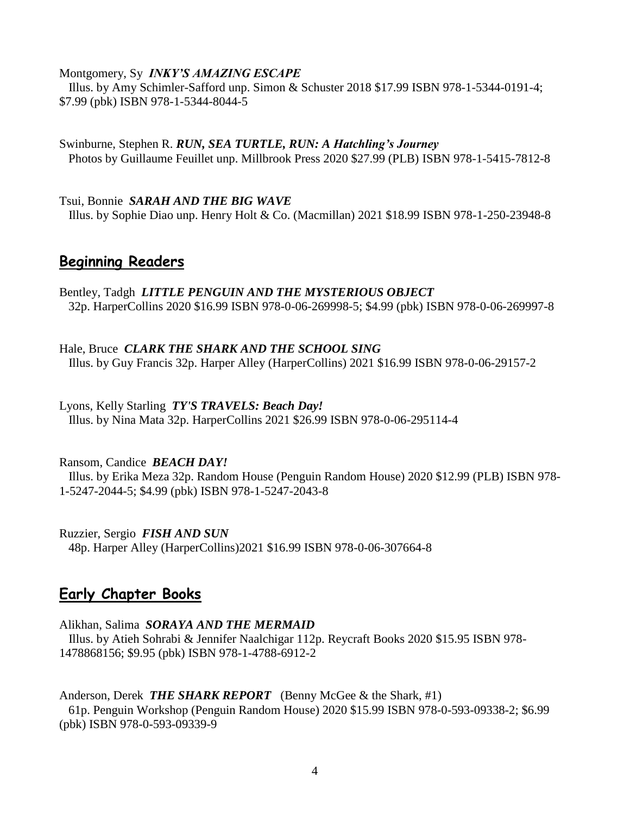#### Montgomery, Sy *INKY'S AMAZING ESCAPE*

 Illus. by Amy Schimler-Safford unp. Simon & Schuster 2018 \$17.99 ISBN 978-1-5344-0191-4; \$7.99 (pbk) ISBN 978-1-5344-8044-5

Swinburne, Stephen R. *RUN, SEA TURTLE, RUN: A Hatchling's Journey* Photos by Guillaume Feuillet unp. Millbrook Press 2020 \$27.99 (PLB) ISBN 978-1-5415-7812-8

Tsui, Bonnie *SARAH AND THE BIG WAVE* Illus. by Sophie Diao unp. Henry Holt & Co. (Macmillan) 2021 \$18.99 ISBN 978-1-250-23948-8

# **Beginning Readers**

Bentley, Tadgh *LITTLE PENGUIN AND THE MYSTERIOUS OBJECT* 32p. HarperCollins 2020 \$16.99 ISBN 978-0-06-269998-5; \$4.99 (pbk) ISBN 978-0-06-269997-8

Hale, Bruce *CLARK THE SHARK AND THE SCHOOL SING* Illus. by Guy Francis 32p. Harper Alley (HarperCollins) 2021 \$16.99 ISBN 978-0-06-29157-2

Lyons, Kelly Starling *TY'S TRAVELS: Beach Day!* Illus. by Nina Mata 32p. HarperCollins 2021 \$26.99 ISBN 978-0-06-295114-4

Ransom, Candice *BEACH DAY!*

 Illus. by Erika Meza 32p. Random House (Penguin Random House) 2020 \$12.99 (PLB) ISBN 978- 1-5247-2044-5; \$4.99 (pbk) ISBN 978-1-5247-2043-8

Ruzzier, Sergio *FISH AND SUN* 48p. Harper Alley (HarperCollins)2021 \$16.99 ISBN 978-0-06-307664-8

### **Early Chapter Books**

Alikhan, Salima *SORAYA AND THE MERMAID*

 Illus. by Atieh Sohrabi & Jennifer Naalchigar 112p. Reycraft Books 2020 \$15.95 ISBN 978- 1478868156; \$9.95 (pbk) ISBN 978-1-4788-6912-2

Anderson, Derek *THE SHARK REPORT* (Benny McGee & the Shark, #1) 61p. Penguin Workshop (Penguin Random House) 2020 \$15.99 ISBN 978-0-593-09338-2; \$6.99 (pbk) ISBN 978-0-593-09339-9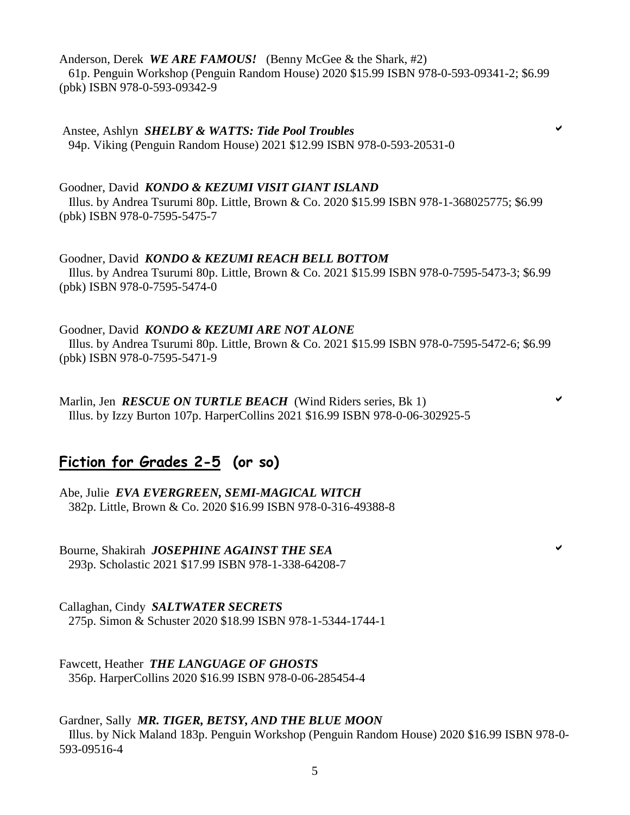Anderson, Derek *WE ARE FAMOUS!* (Benny McGee & the Shark, #2)

 61p. Penguin Workshop (Penguin Random House) 2020 \$15.99 ISBN 978-0-593-09341-2; \$6.99 (pbk) ISBN 978-0-593-09342-9

Anstee, Ashlyn *SHELBY & WATTS: Tide Pool Troubles* 94p. Viking (Penguin Random House) 2021 \$12.99 ISBN 978-0-593-20531-0

Goodner, David *KONDO & KEZUMI VISIT GIANT ISLAND* Illus. by Andrea Tsurumi 80p. Little, Brown & Co. 2020 \$15.99 ISBN 978-1-368025775; \$6.99 (pbk) ISBN 978-0-7595-5475-7

Goodner, David *KONDO & KEZUMI REACH BELL BOTTOM* Illus. by Andrea Tsurumi 80p. Little, Brown & Co. 2021 \$15.99 ISBN 978-0-7595-5473-3; \$6.99 (pbk) ISBN 978-0-7595-5474-0

Goodner, David *KONDO & KEZUMI ARE NOT ALONE*

 Illus. by Andrea Tsurumi 80p. Little, Brown & Co. 2021 \$15.99 ISBN 978-0-7595-5472-6; \$6.99 (pbk) ISBN 978-0-7595-5471-9

Marlin, Jen *RESCUE ON TURTLE BEACH* (Wind Riders series, Bk 1) Illus. by Izzy Burton 107p. HarperCollins 2021 \$16.99 ISBN 978-0-06-302925-5

# **Fiction for Grades 2-5 (or so)**

Abe, Julie *EVA EVERGREEN, SEMI-MAGICAL WITCH* 382p. Little, Brown & Co. 2020 \$16.99 ISBN 978-0-316-49388-8

Bourne, Shakirah *JOSEPHINE AGAINST THE SEA* 293p. Scholastic 2021 \$17.99 ISBN 978-1-338-64208-7

Callaghan, Cindy *SALTWATER SECRETS* 275p. Simon & Schuster 2020 \$18.99 ISBN 978-1-5344-1744-1

Fawcett, Heather *THE LANGUAGE OF GHOSTS* 356p. HarperCollins 2020 \$16.99 ISBN 978-0-06-285454-4

Gardner, Sally *MR. TIGER, BETSY, AND THE BLUE MOON* Illus. by Nick Maland 183p. Penguin Workshop (Penguin Random House) 2020 \$16.99 ISBN 978-0- 593-09516-4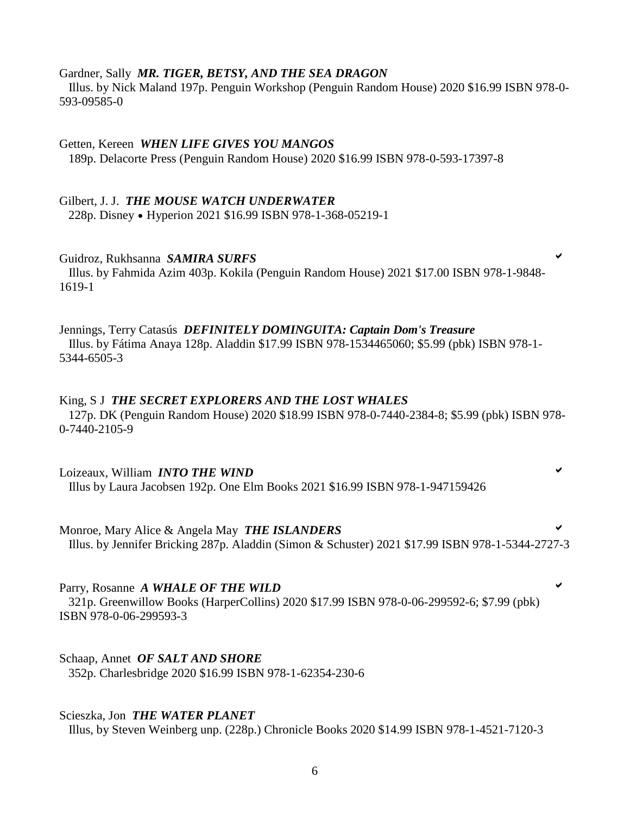#### Gardner, Sally *MR. TIGER, BETSY, AND THE SEA DRAGON*

 Illus. by Nick Maland 197p. Penguin Workshop (Penguin Random House) 2020 \$16.99 ISBN 978-0- 593-09585-0

#### Getten, Kereen *WHEN LIFE GIVES YOU MANGOS*

189p. Delacorte Press (Penguin Random House) 2020 \$16.99 ISBN 978-0-593-17397-8

#### Gilbert, J. J. *THE MOUSE WATCH UNDERWATER*

228p. Disney Hyperion 2021 \$16.99 ISBN 978-1-368-05219-1

#### Guidroz, Rukhsanna *SAMIRA SURFS*

 Illus. by Fahmida Azim 403p. Kokila (Penguin Random House) 2021 \$17.00 ISBN 978-1-9848- 1619-1

#### Jennings, Terry Catasús *DEFINITELY DOMINGUITA: Captain Dom's Treasure* Illus. by Fátima Anaya 128p. Aladdin \$17.99 ISBN 978-1534465060; \$5.99 (pbk) ISBN 978-1- 5344-6505-3

#### King, S J *THE SECRET EXPLORERS AND THE LOST WHALES*

 127p. DK (Penguin Random House) 2020 \$18.99 ISBN 978-0-7440-2384-8; \$5.99 (pbk) ISBN 978- 0-7440-2105-9

#### Loizeaux, William *INTO THE WIND* Illus by Laura Jacobsen 192p. One Elm Books 2021 \$16.99 ISBN 978-1-947159426

Monroe, Mary Alice & Angela May *THE ISLANDERS* Illus. by Jennifer Bricking 287p. Aladdin (Simon & Schuster) 2021 \$17.99 ISBN 978-1-5344-2727-3

Parry, Rosanne *A WHALE OF THE WILD* 321p. Greenwillow Books (HarperCollins) 2020 \$17.99 ISBN 978-0-06-299592-6; \$7.99 (pbk) ISBN 978-0-06-299593-3

Schaap, Annet *OF SALT AND SHORE* 352p. Charlesbridge 2020 \$16.99 ISBN 978-1-62354-230-6

#### Scieszka, Jon *THE WATER PLANET*

Illus, by Steven Weinberg unp. (228p.) Chronicle Books 2020 \$14.99 ISBN 978-1-4521-7120-3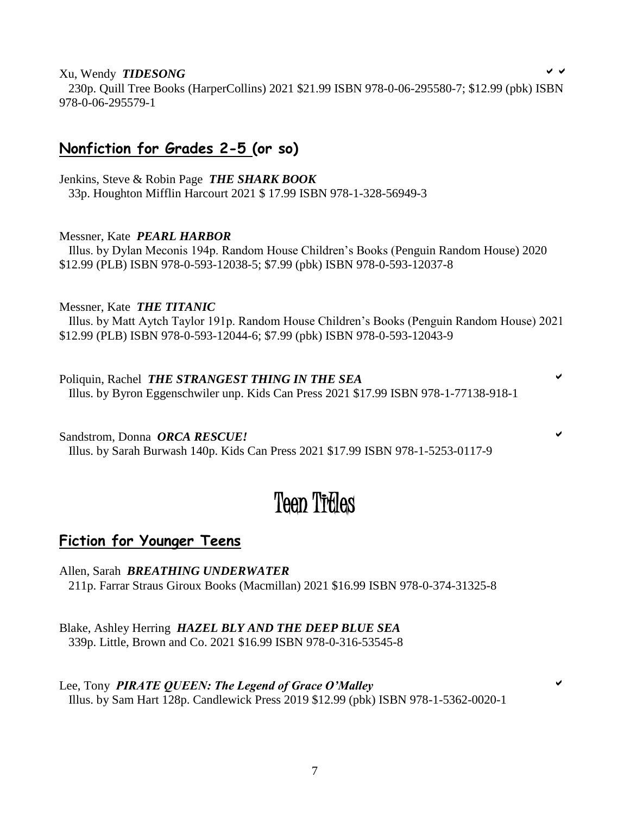#### Xu, Wendy *TIDESONG*

 230p. Quill Tree Books (HarperCollins) 2021 \$21.99 ISBN 978-0-06-295580-7; \$12.99 (pbk) ISBN 978-0-06-295579-1

# **Nonfiction for Grades 2-5 (or so)**

Jenkins, Steve & Robin Page *THE SHARK BOOK* 33p. Houghton Mifflin Harcourt 2021 \$ 17.99 ISBN 978-1-328-56949-3

#### Messner, Kate *PEARL HARBOR*

 Illus. by Dylan Meconis 194p. Random House Children's Books (Penguin Random House) 2020 \$12.99 (PLB) ISBN 978-0-593-12038-5; \$7.99 (pbk) ISBN 978-0-593-12037-8

Messner, Kate *THE TITANIC* Illus. by Matt Aytch Taylor 191p. Random House Children's Books (Penguin Random House) 2021 \$12.99 (PLB) ISBN 978-0-593-12044-6; \$7.99 (pbk) ISBN 978-0-593-12043-9

#### Poliquin, Rachel *THE STRANGEST THING IN THE SEA* Illus. by Byron Eggenschwiler unp. Kids Can Press 2021 \$17.99 ISBN 978-1-77138-918-1

Sandstrom, Donna *ORCA RESCUE!* Illus. by Sarah Burwash 140p. Kids Can Press 2021 \$17.99 ISBN 978-1-5253-0117-9

# Teen Titles

### **Fiction for Younger Teens**

Allen, Sarah *BREATHING UNDERWATER* 211p. Farrar Straus Giroux Books (Macmillan) 2021 \$16.99 ISBN 978-0-374-31325-8

Blake, Ashley Herring *HAZEL BLY AND THE DEEP BLUE SEA* 339p. Little, Brown and Co. 2021 \$16.99 ISBN 978-0-316-53545-8

Lee, Tony *PIRATE QUEEN: The Legend of Grace O'Malley* Illus. by Sam Hart 128p. Candlewick Press 2019 \$12.99 (pbk) ISBN 978-1-5362-0020-1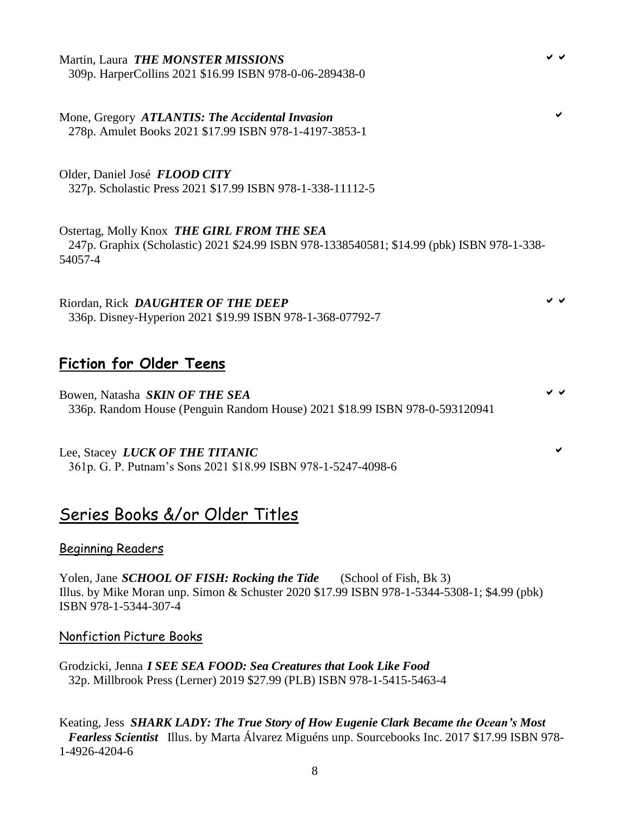### Martin, Laura *THE MONSTER MISSIONS*

309p. HarperCollins 2021 \$16.99 ISBN 978-0-06-289438-0

Mone, Gregory *ATLANTIS: The Accidental Invasion* 278p. Amulet Books 2021 \$17.99 ISBN 978-1-4197-3853-1

Older, Daniel José *FLOOD CITY*

327p. Scholastic Press 2021 \$17.99 ISBN 978-1-338-11112-5

Ostertag, Molly Knox *THE GIRL FROM THE SEA* 247p. Graphix (Scholastic) 2021 \$24.99 ISBN 978-1338540581; \$14.99 (pbk) ISBN 978-1-338- 54057-4

Riordan, Rick *DAUGHTER OF THE DEEP* 336p. Disney-Hyperion 2021 \$19.99 ISBN 978-1-368-07792-7

# **Fiction for Older Teens**

Bowen, Natasha *SKIN OF THE SEA* 336p. Random House (Penguin Random House) 2021 \$18.99 ISBN 978-0-593120941

Lee, Stacey *LUCK OF THE TITANIC* 361p. G. P. Putnam's Sons 2021 \$18.99 ISBN 978-1-5247-4098-6

# Series Books &/or Older Titles

#### Beginning Readers

Yolen, Jane *SCHOOL OF FISH: Rocking the Tide* (School of Fish, Bk 3) Illus. by Mike Moran unp. Simon & Schuster 2020 \$17.99 ISBN 978-1-5344-5308-1; \$4.99 (pbk) ISBN 978-1-5344-307-4

#### Nonfiction Picture Books

Grodzicki, Jenna *I SEE SEA FOOD: Sea Creatures that Look Like Food* 32p. Millbrook Press (Lerner) 2019 \$27.99 (PLB) ISBN 978-1-5415-5463-4

Keating, Jess *SHARK LADY: The True Story of How Eugenie Clark Became the Ocean's Most Fearless Scientist* Illus. by Marta Álvarez Miguéns unp. Sourcebooks Inc. 2017 \$17.99 ISBN 978- 1-4926-4204-6